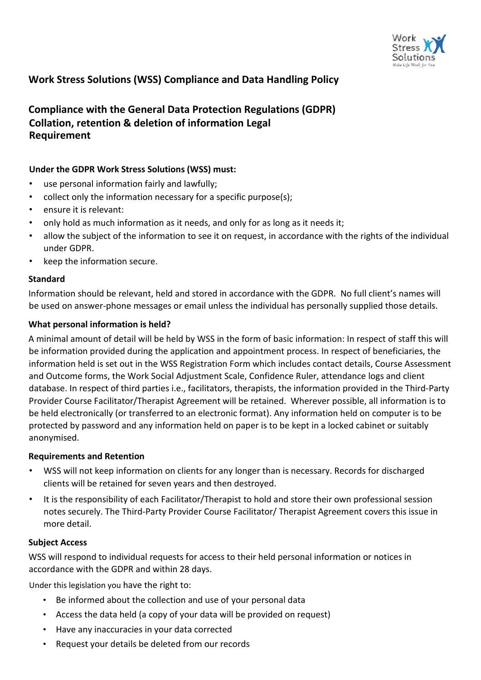

## **Work Stress Solutions (WSS) Compliance and Data Handling Policy**

# **Compliance with the General Data Protection Regulations (GDPR) Collation, retention & deletion of information Legal Requirement**

### **Under the GDPR Work Stress Solutions (WSS) must:**

- use personal information fairly and lawfully;
- collect only the information necessary for a specific purpose(s);
- ensure it is relevant:
- only hold as much information as it needs, and only for as long as it needs it;
- allow the subject of the information to see it on request, in accordance with the rights of the individual under GDPR.
- keep the information secure.

### **Standard**

Information should be relevant, held and stored in accordance with the GDPR. No full client's names will be used on answer-phone messages or email unless the individual has personally supplied those details.

### **What personal information is held?**

A minimal amount of detail will be held by WSS in the form of basic information: In respect of staff this will be information provided during the application and appointment process. In respect of beneficiaries, the information held is set out in the WSS Registration Form which includes contact details, Course Assessment and Outcome forms, the Work Social Adjustment Scale, Confidence Ruler, attendance logs and client database. In respect of third parties i.e., facilitators, therapists, the information provided in the Third-Party Provider Course Facilitator/Therapist Agreement will be retained. Wherever possible, all information is to be held electronically (or transferred to an electronic format). Any information held on computer is to be protected by password and any information held on paper is to be kept in a locked cabinet or suitably anonymised.

### **Requirements and Retention**

- WSS will not keep information on clients for any longer than is necessary. Records for discharged clients will be retained for seven years and then destroyed.
- It is the responsibility of each Facilitator/Therapist to hold and store their own professional session notes securely. The Third-Party Provider Course Facilitator/ Therapist Agreement covers this issue in more detail.

### **Subject Access**

WSS will respond to individual requests for access to their held personal information or notices in accordance with the GDPR and within 28 days.

Under this legislation you have the right to:

- Be informed about the collection and use of your personal data
- Access the data held (a copy of your data will be provided on request)
- Have any inaccuracies in your data corrected
- Request your details be deleted from our records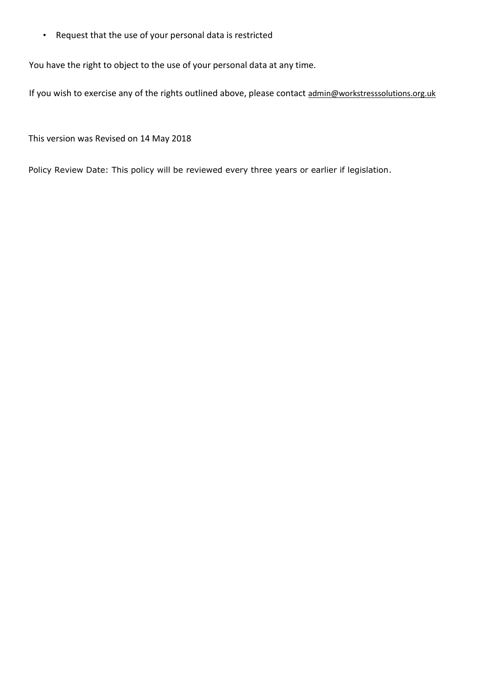• Request that the use of your personal data is restricted

You have the right to object to the use of your personal data at any time.

If you wish to exercise any of the rights outlined above, please contact admin@workstresssolutions.org.uk

This version was Revised on 14 May 2018

Policy Review Date: This policy will be reviewed every three years or earlier if legislation.